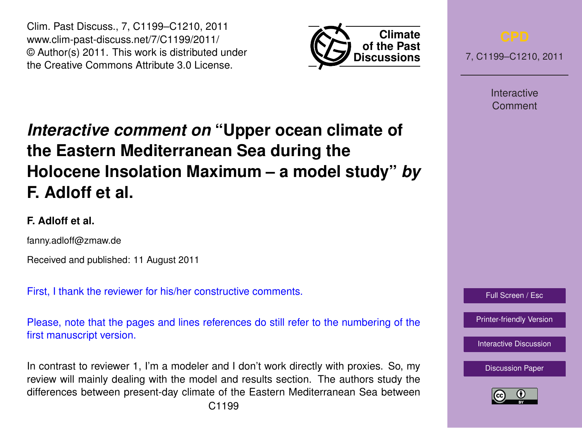Clim. Past Discuss., 7, C1199–C1210, 2011 www.clim-past-discuss.net/7/C1199/2011/ © Author(s) 2011. This work is distributed under the Creative Commons Attribute 3.0 License.



7, C1199–C1210, 2011

Interactive Comment

# *Interactive comment on* **"Upper ocean climate of the Eastern Mediterranean Sea during the Holocene Insolation Maximum – a model study"** *by* **F. Adloff et al.**

# **F. Adloff et al.**

fanny.adloff@zmaw.de

Received and published: 11 August 2011

First, I thank the reviewer for his/her constructive comments.

Please, note that the pages and lines references do still refer to the numbering of the first manuscript version.

In contrast to reviewer 1, I'm a modeler and I don't work directly with proxies. So, my review will mainly dealing with the model and results section. The authors study the differences between present-day climate of the Eastern Mediterranean Sea between



[Printer-friendly Version](http://www.clim-past-discuss.net/7/C1199/2011/cpd-7-C1199-2011-print.pdf)

[Interactive Discussion](http://www.clim-past-discuss.net/7/1457/2011/cpd-7-1457-2011-discussion.html)

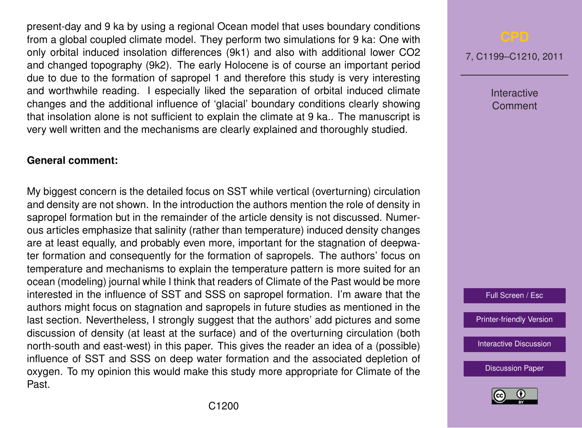present-day and 9 ka by using a regional Ocean model that uses boundary conditions from a global coupled climate model. They perform two simulations for 9 ka: One with only orbital induced insolation differences (9k1) and also with additional lower CO2 and changed topography (9k2). The early Holocene is of course an important period due to due to the formation of sapropel 1 and therefore this study is very interesting and worthwhile reading. I especially liked the separation of orbital induced climate changes and the additional influence of 'glacial' boundary conditions clearly showing that insolation alone is not sufficient to explain the climate at 9 ka.. The manuscript is very well written and the mechanisms are clearly explained and thoroughly studied.

### **General comment:**

My biggest concern is the detailed focus on SST while vertical (overturning) circulation and density are not shown. In the introduction the authors mention the role of density in sapropel formation but in the remainder of the article density is not discussed. Numerous articles emphasize that salinity (rather than temperature) induced density changes are at least equally, and probably even more, important for the stagnation of deepwater formation and consequently for the formation of sapropels. The authors' focus on temperature and mechanisms to explain the temperature pattern is more suited for an ocean (modeling) journal while I think that readers of Climate of the Past would be more interested in the influence of SST and SSS on sapropel formation. I'm aware that the authors might focus on stagnation and sapropels in future studies as mentioned in the last section. Nevertheless, I strongly suggest that the authors' add pictures and some discussion of density (at least at the surface) and of the overturning circulation (both north-south and east-west) in this paper. This gives the reader an idea of a (possible) influence of SST and SSS on deep water formation and the associated depletion of oxygen. To my opinion this would make this study more appropriate for Climate of the Past.

7, C1199–C1210, 2011

Interactive Comment

Full Screen / Esc

[Printer-friendly Version](http://www.clim-past-discuss.net/7/C1199/2011/cpd-7-C1199-2011-print.pdf)

[Interactive Discussion](http://www.clim-past-discuss.net/7/1457/2011/cpd-7-1457-2011-discussion.html)

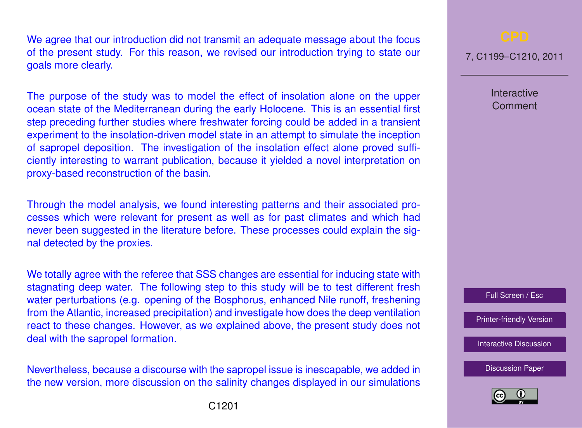We agree that our introduction did not transmit an adequate message about the focus of the present study. For this reason, we revised our introduction trying to state our goals more clearly.

The purpose of the study was to model the effect of insolation alone on the upper ocean state of the Mediterranean during the early Holocene. This is an essential first step preceding further studies where freshwater forcing could be added in a transient experiment to the insolation-driven model state in an attempt to simulate the inception of sapropel deposition. The investigation of the insolation effect alone proved sufficiently interesting to warrant publication, because it yielded a novel interpretation on proxy-based reconstruction of the basin.

Through the model analysis, we found interesting patterns and their associated processes which were relevant for present as well as for past climates and which had never been suggested in the literature before. These processes could explain the signal detected by the proxies.

We totally agree with the referee that SSS changes are essential for inducing state with stagnating deep water. The following step to this study will be to test different fresh water perturbations (e.g. opening of the Bosphorus, enhanced Nile runoff, freshening from the Atlantic, increased precipitation) and investigate how does the deep ventilation react to these changes. However, as we explained above, the present study does not deal with the sapropel formation.

Nevertheless, because a discourse with the sapropel issue is inescapable, we added in the new version, more discussion on the salinity changes displayed in our simulations

7, C1199–C1210, 2011

Interactive **Comment** 

Full Screen / Esc

[Printer-friendly Version](http://www.clim-past-discuss.net/7/C1199/2011/cpd-7-C1199-2011-print.pdf)

[Interactive Discussion](http://www.clim-past-discuss.net/7/1457/2011/cpd-7-1457-2011-discussion.html)

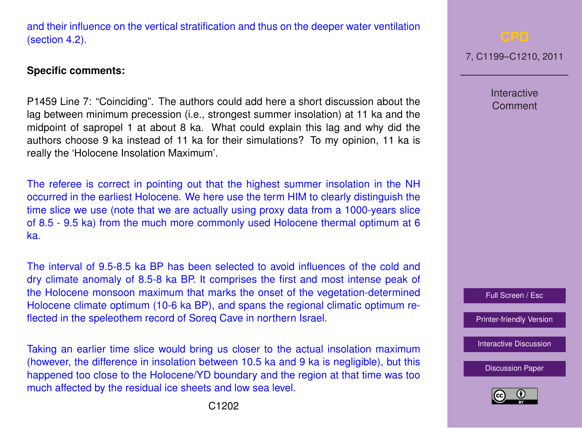



and their influence on the vertical stratification and thus on the deeper water ventilation (section 4.2).

#### **Specific comments:**

P1459 Line 7: "Coinciding". The authors could add here a short discussion about the lag between minimum precession (i.e., strongest summer insolation) at 11 ka and the midpoint of sapropel 1 at about 8 ka. What could explain this lag and why did the authors choose 9 ka instead of 11 ka for their simulations? To my opinion, 11 ka is really the 'Holocene Insolation Maximum'.

The referee is correct in pointing out that the highest summer insolation in the NH occurred in the earliest Holocene. We here use the term HIM to clearly distinguish the time slice we use (note that we are actually using proxy data from a 1000-years slice of 8.5 - 9.5 ka) from the much more commonly used Holocene thermal optimum at 6 ka.

The interval of 9.5-8.5 ka BP has been selected to avoid influences of the cold and dry climate anomaly of 8.5-8 ka BP. It comprises the first and most intense peak of the Holocene monsoon maximum that marks the onset of the vegetation-determined Holocene climate optimum (10-6 ka BP), and spans the regional climatic optimum reflected in the speleothem record of Soreq Cave in northern Israel.

Taking an earlier time slice would bring us closer to the actual insolation maximum (however, the difference in insolation between 10.5 ka and 9 ka is negligible), but this happened too close to the Holocene/YD boundary and the region at that time was too much affected by the residual ice sheets and low sea level.

7, C1199–C1210, 2011

Interactive Comment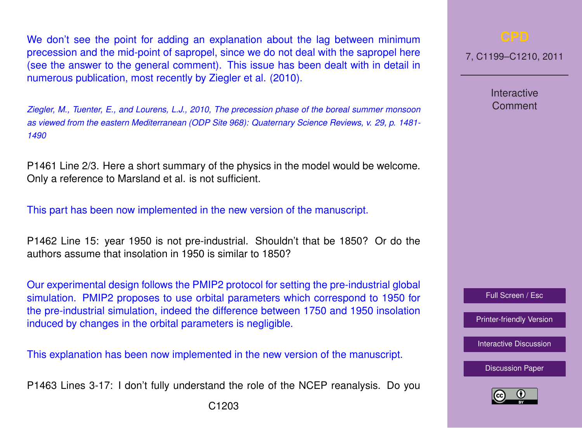We don't see the point for adding an explanation about the lag between minimum precession and the mid-point of sapropel, since we do not deal with the sapropel here (see the answer to the general comment). This issue has been dealt with in detail in numerous publication, most recently by Ziegler et al. (2010).

*Ziegler, M., Tuenter, E., and Lourens, L.J., 2010, The precession phase of the boreal summer monsoon as viewed from the eastern Mediterranean (ODP Site 968): Quaternary Science Reviews, v. 29, p. 1481- 1490*

P1461 Line 2/3. Here a short summary of the physics in the model would be welcome. Only a reference to Marsland et al. is not sufficient.

This part has been now implemented in the new version of the manuscript.

P1462 Line 15: year 1950 is not pre-industrial. Shouldn't that be 1850? Or do the authors assume that insolation in 1950 is similar to 1850?

Our experimental design follows the PMIP2 protocol for setting the pre-industrial global simulation. PMIP2 proposes to use orbital parameters which correspond to 1950 for the pre-industrial simulation, indeed the difference between 1750 and 1950 insolation induced by changes in the orbital parameters is negligible.

This explanation has been now implemented in the new version of the manuscript.

P1463 Lines 3-17: I don't fully understand the role of the NCEP reanalysis. Do you

7, C1199–C1210, 2011

Interactive Comment

Full Screen / Esc

[Printer-friendly Version](http://www.clim-past-discuss.net/7/C1199/2011/cpd-7-C1199-2011-print.pdf)

[Interactive Discussion](http://www.clim-past-discuss.net/7/1457/2011/cpd-7-1457-2011-discussion.html)

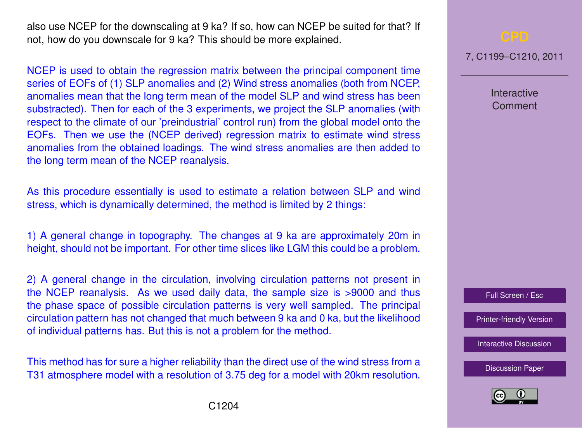also use NCEP for the downscaling at 9 ka? If so, how can NCEP be suited for that? If not, how do you downscale for 9 ka? This should be more explained.

NCEP is used to obtain the regression matrix between the principal component time series of EOFs of (1) SLP anomalies and (2) Wind stress anomalies (both from NCEP, anomalies mean that the long term mean of the model SLP and wind stress has been substracted). Then for each of the 3 experiments, we project the SLP anomalies (with respect to the climate of our 'preindustrial' control run) from the global model onto the EOFs. Then we use the (NCEP derived) regression matrix to estimate wind stress anomalies from the obtained loadings. The wind stress anomalies are then added to the long term mean of the NCEP reanalysis.

As this procedure essentially is used to estimate a relation between SLP and wind stress, which is dynamically determined, the method is limited by 2 things:

1) A general change in topography. The changes at 9 ka are approximately 20m in height, should not be important. For other time slices like LGM this could be a problem.

2) A general change in the circulation, involving circulation patterns not present in the NCEP reanalysis. As we used daily data, the sample size is >9000 and thus the phase space of possible circulation patterns is very well sampled. The principal circulation pattern has not changed that much between 9 ka and 0 ka, but the likelihood of individual patterns has. But this is not a problem for the method.

This method has for sure a higher reliability than the direct use of the wind stress from a T31 atmosphere model with a resolution of 3.75 deg for a model with 20km resolution.

7, C1199–C1210, 2011

Interactive Comment

Full Screen / Esc

[Printer-friendly Version](http://www.clim-past-discuss.net/7/C1199/2011/cpd-7-C1199-2011-print.pdf)

[Interactive Discussion](http://www.clim-past-discuss.net/7/1457/2011/cpd-7-1457-2011-discussion.html)

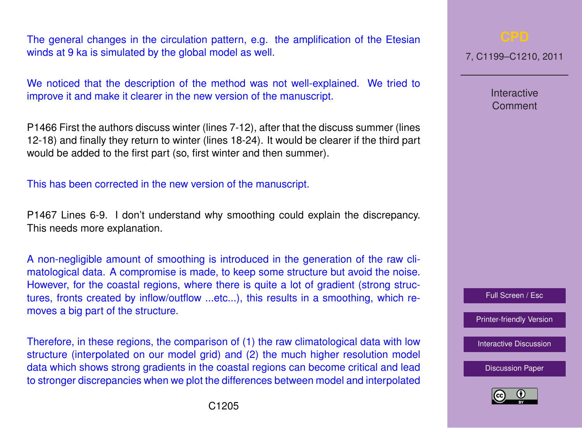The general changes in the circulation pattern, e.g. the amplification of the Etesian winds at 9 ka is simulated by the global model as well.

We noticed that the description of the method was not well-explained. We tried to improve it and make it clearer in the new version of the manuscript.

P1466 First the authors discuss winter (lines 7-12), after that the discuss summer (lines 12-18) and finally they return to winter (lines 18-24). It would be clearer if the third part would be added to the first part (so, first winter and then summer).

This has been corrected in the new version of the manuscript.

P1467 Lines 6-9. I don't understand why smoothing could explain the discrepancy. This needs more explanation.

A non-negligible amount of smoothing is introduced in the generation of the raw climatological data. A compromise is made, to keep some structure but avoid the noise. However, for the coastal regions, where there is quite a lot of gradient (strong structures, fronts created by inflow/outflow ...etc...), this results in a smoothing, which removes a big part of the structure.

Therefore, in these regions, the comparison of (1) the raw climatological data with low structure (interpolated on our model grid) and (2) the much higher resolution model data which shows strong gradients in the coastal regions can become critical and lead to stronger discrepancies when we plot the differences between model and interpolated 7, C1199–C1210, 2011

Interactive Comment



[Printer-friendly Version](http://www.clim-past-discuss.net/7/C1199/2011/cpd-7-C1199-2011-print.pdf)

[Interactive Discussion](http://www.clim-past-discuss.net/7/1457/2011/cpd-7-1457-2011-discussion.html)

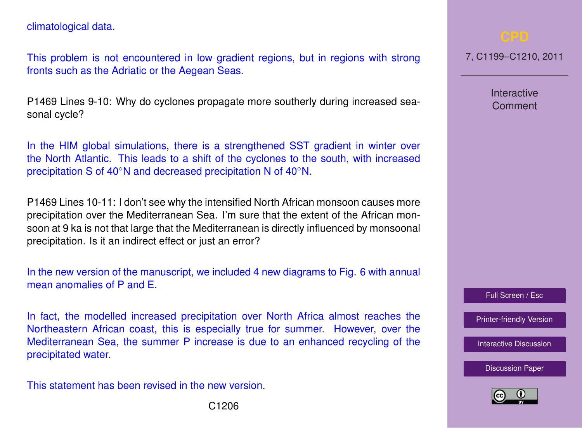climatological data.

This problem is not encountered in low gradient regions, but in regions with strong fronts such as the Adriatic or the Aegean Seas.

P1469 Lines 9-10: Why do cyclones propagate more southerly during increased seasonal cycle?

In the HIM global simulations, there is a strengthened SST gradient in winter over the North Atlantic. This leads to a shift of the cyclones to the south, with increased precipitation S of 40<sup>°</sup>N and decreased precipitation N of 40<sup>°</sup>N.

P1469 Lines 10-11: I don't see why the intensified North African monsoon causes more precipitation over the Mediterranean Sea. I'm sure that the extent of the African monsoon at 9 ka is not that large that the Mediterranean is directly influenced by monsoonal precipitation. Is it an indirect effect or just an error?

In the new version of the manuscript, we included 4 new diagrams to Fig. 6 with annual mean anomalies of P and E.

In fact, the modelled increased precipitation over North Africa almost reaches the Northeastern African coast, this is especially true for summer. However, over the Mediterranean Sea, the summer P increase is due to an enhanced recycling of the precipitated water.

This statement has been revised in the new version.

7, C1199–C1210, 2011

Interactive Comment



[Printer-friendly Version](http://www.clim-past-discuss.net/7/C1199/2011/cpd-7-C1199-2011-print.pdf)

[Interactive Discussion](http://www.clim-past-discuss.net/7/1457/2011/cpd-7-1457-2011-discussion.html)

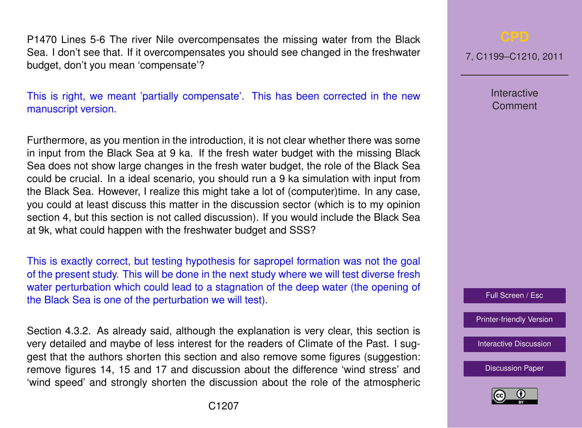P1470 Lines 5-6 The river Nile overcompensates the missing water from the Black Sea. I don't see that. If it overcompensates you should see changed in the freshwater budget, don't you mean 'compensate'?

This is right, we meant 'partially compensate'. This has been corrected in the new manuscript version.

Furthermore, as you mention in the introduction, it is not clear whether there was some in input from the Black Sea at 9 ka. If the fresh water budget with the missing Black Sea does not show large changes in the fresh water budget, the role of the Black Sea could be crucial. In a ideal scenario, you should run a 9 ka simulation with input from the Black Sea. However, I realize this might take a lot of (computer)time. In any case, you could at least discuss this matter in the discussion sector (which is to my opinion section 4, but this section is not called discussion). If you would include the Black Sea at 9k, what could happen with the freshwater budget and SSS?

This is exactly correct, but testing hypothesis for sapropel formation was not the goal of the present study. This will be done in the next study where we will test diverse fresh water perturbation which could lead to a stagnation of the deep water (the opening of the Black Sea is one of the perturbation we will test).

Section 4.3.2. As already said, although the explanation is very clear, this section is very detailed and maybe of less interest for the readers of Climate of the Past. I suggest that the authors shorten this section and also remove some figures (suggestion: remove figures 14, 15 and 17 and discussion about the difference 'wind stress' and 'wind speed' and strongly shorten the discussion about the role of the atmospheric

7, C1199–C1210, 2011

Interactive **Comment** 



[Printer-friendly Version](http://www.clim-past-discuss.net/7/C1199/2011/cpd-7-C1199-2011-print.pdf)

[Interactive Discussion](http://www.clim-past-discuss.net/7/1457/2011/cpd-7-1457-2011-discussion.html)

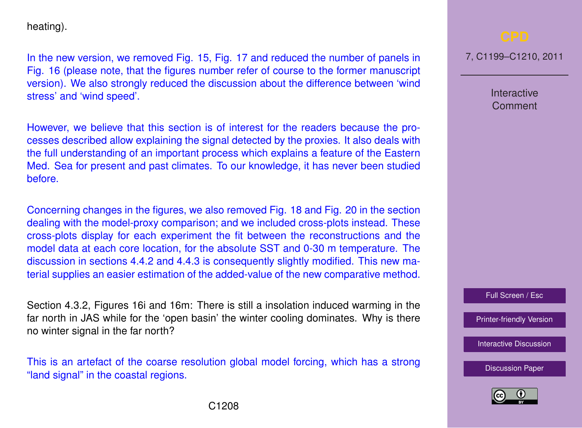heating).

In the new version, we removed Fig. 15, Fig. 17 and reduced the number of panels in Fig. 16 (please note, that the figures number refer of course to the former manuscript version). We also strongly reduced the discussion about the difference between 'wind stress' and 'wind speed'.

However, we believe that this section is of interest for the readers because the processes described allow explaining the signal detected by the proxies. It also deals with the full understanding of an important process which explains a feature of the Eastern Med. Sea for present and past climates. To our knowledge, it has never been studied before.

Concerning changes in the figures, we also removed Fig. 18 and Fig. 20 in the section dealing with the model-proxy comparison; and we included cross-plots instead. These cross-plots display for each experiment the fit between the reconstructions and the model data at each core location, for the absolute SST and 0-30 m temperature. The discussion in sections 4.4.2 and 4.4.3 is consequently slightly modified. This new material supplies an easier estimation of the added-value of the new comparative method.

Section 4.3.2, Figures 16i and 16m: There is still a insolation induced warming in the far north in JAS while for the 'open basin' the winter cooling dominates. Why is there no winter signal in the far north?

This is an artefact of the coarse resolution global model forcing, which has a strong "land signal" in the coastal regions.

7, C1199–C1210, 2011

Interactive Comment

Full Screen / Esc

[Printer-friendly Version](http://www.clim-past-discuss.net/7/C1199/2011/cpd-7-C1199-2011-print.pdf)

[Interactive Discussion](http://www.clim-past-discuss.net/7/1457/2011/cpd-7-1457-2011-discussion.html)

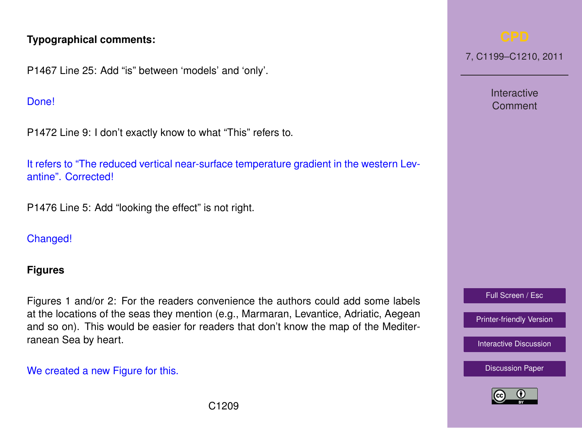# **Typographical comments:**

P1467 Line 25: Add "is" between 'models' and 'only'.

### Done!

P1472 Line 9: I don't exactly know to what "This" refers to.

It refers to "The reduced vertical near-surface temperature gradient in the western Levantine". Corrected!

P1476 Line 5: Add "looking the effect" is not right.

# Changed!

### **Figures**

Figures 1 and/or 2: For the readers convenience the authors could add some labels at the locations of the seas they mention (e.g., Marmaran, Levantice, Adriatic, Aegean and so on). This would be easier for readers that don't know the map of the Mediterranean Sea by heart.

### We created a new Figure for this.

7, C1199–C1210, 2011

Interactive Comment

Full Screen / Esc

[Printer-friendly Version](http://www.clim-past-discuss.net/7/C1199/2011/cpd-7-C1199-2011-print.pdf)

[Interactive Discussion](http://www.clim-past-discuss.net/7/1457/2011/cpd-7-1457-2011-discussion.html)